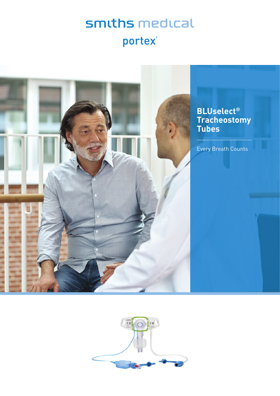# smiths medical portex®